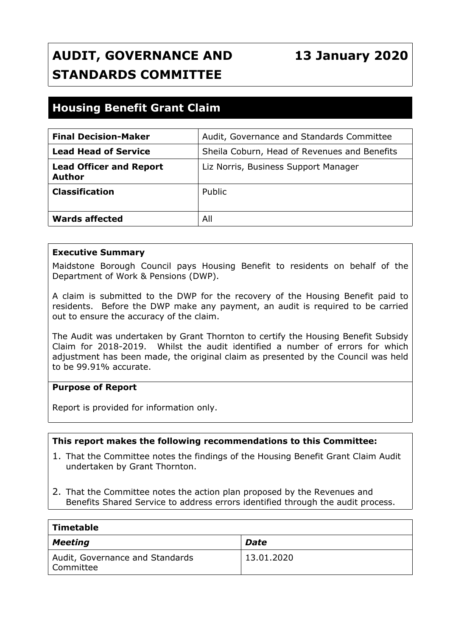# **AUDIT, GOVERNANCE AND STANDARDS COMMITTEE**

## **13 January 2020**

## **Housing Benefit Grant Claim**

| <b>Final Decision-Maker</b>              | Audit, Governance and Standards Committee    |
|------------------------------------------|----------------------------------------------|
| <b>Lead Head of Service</b>              | Sheila Coburn, Head of Revenues and Benefits |
| <b>Lead Officer and Report</b><br>Author | Liz Norris, Business Support Manager         |
| <b>Classification</b>                    | Public                                       |
| Wards affected                           | All                                          |

#### **Executive Summary**

Maidstone Borough Council pays Housing Benefit to residents on behalf of the Department of Work & Pensions (DWP).

A claim is submitted to the DWP for the recovery of the Housing Benefit paid to residents. Before the DWP make any payment, an audit is required to be carried out to ensure the accuracy of the claim.

The Audit was undertaken by Grant Thornton to certify the Housing Benefit Subsidy Claim for 2018-2019. Whilst the audit identified a number of errors for which adjustment has been made, the original claim as presented by the Council was held to be 99.91% accurate.

#### **Purpose of Report**

Report is provided for information only.

#### **This report makes the following recommendations to this Committee:**

- 1. That the Committee notes the findings of the Housing Benefit Grant Claim Audit undertaken by Grant Thornton.
- 2. That the Committee notes the action plan proposed by the Revenues and Benefits Shared Service to address errors identified through the audit process.

| <b>Timetable</b>                             |            |  |
|----------------------------------------------|------------|--|
| <b>Meeting</b>                               | Date       |  |
| Audit, Governance and Standards<br>Committee | 13.01.2020 |  |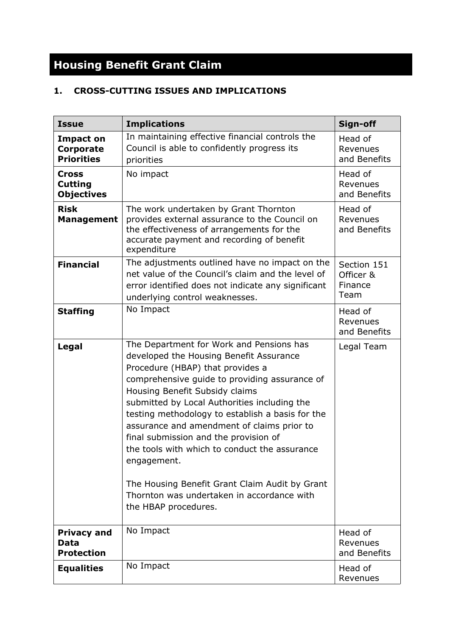# **Housing Benefit Grant Claim**

### **1. CROSS-CUTTING ISSUES AND IMPLICATIONS**

| <b>Issue</b>                                              | <b>Implications</b>                                                                                                                                                                                                                                                                                                                                                                                                                                                                                                                                                                           | Sign-off                                    |
|-----------------------------------------------------------|-----------------------------------------------------------------------------------------------------------------------------------------------------------------------------------------------------------------------------------------------------------------------------------------------------------------------------------------------------------------------------------------------------------------------------------------------------------------------------------------------------------------------------------------------------------------------------------------------|---------------------------------------------|
| <b>Impact on</b><br><b>Corporate</b><br><b>Priorities</b> | In maintaining effective financial controls the<br>Council is able to confidently progress its<br>priorities                                                                                                                                                                                                                                                                                                                                                                                                                                                                                  | Head of<br>Revenues<br>and Benefits         |
| <b>Cross</b><br><b>Cutting</b><br><b>Objectives</b>       | No impact                                                                                                                                                                                                                                                                                                                                                                                                                                                                                                                                                                                     | Head of<br>Revenues<br>and Benefits         |
| <b>Risk</b><br><b>Management</b>                          | The work undertaken by Grant Thornton<br>provides external assurance to the Council on<br>the effectiveness of arrangements for the<br>accurate payment and recording of benefit<br>expenditure                                                                                                                                                                                                                                                                                                                                                                                               | Head of<br>Revenues<br>and Benefits         |
| <b>Financial</b>                                          | The adjustments outlined have no impact on the<br>net value of the Council's claim and the level of<br>error identified does not indicate any significant<br>underlying control weaknesses.                                                                                                                                                                                                                                                                                                                                                                                                   | Section 151<br>Officer &<br>Finance<br>Team |
| <b>Staffing</b>                                           | No Impact                                                                                                                                                                                                                                                                                                                                                                                                                                                                                                                                                                                     | Head of<br>Revenues<br>and Benefits         |
| Legal                                                     | The Department for Work and Pensions has<br>developed the Housing Benefit Assurance<br>Procedure (HBAP) that provides a<br>comprehensive guide to providing assurance of<br>Housing Benefit Subsidy claims<br>submitted by Local Authorities including the<br>testing methodology to establish a basis for the<br>assurance and amendment of claims prior to<br>final submission and the provision of<br>the tools with which to conduct the assurance<br>engagement.<br>The Housing Benefit Grant Claim Audit by Grant<br>Thornton was undertaken in accordance with<br>the HBAP procedures. | Legal Team                                  |
| <b>Privacy and</b><br>Data<br><b>Protection</b>           | No Impact                                                                                                                                                                                                                                                                                                                                                                                                                                                                                                                                                                                     | Head of<br>Revenues<br>and Benefits         |
| <b>Equalities</b>                                         | No Impact                                                                                                                                                                                                                                                                                                                                                                                                                                                                                                                                                                                     | Head of<br>Revenues                         |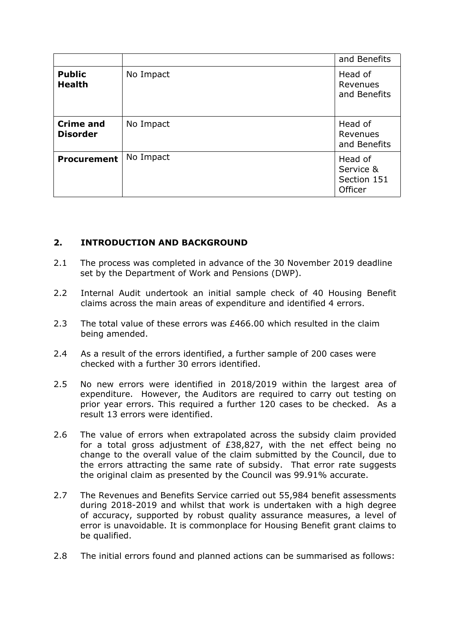|                                     |           | and Benefits                                   |
|-------------------------------------|-----------|------------------------------------------------|
| <b>Public</b><br><b>Health</b>      | No Impact | Head of<br>Revenues<br>and Benefits            |
| <b>Crime and</b><br><b>Disorder</b> | No Impact | Head of<br>Revenues<br>and Benefits            |
| <b>Procurement</b>                  | No Impact | Head of<br>Service &<br>Section 151<br>Officer |

#### **2. INTRODUCTION AND BACKGROUND**

- 2.1 The process was completed in advance of the 30 November 2019 deadline set by the Department of Work and Pensions (DWP).
- 2.2 Internal Audit undertook an initial sample check of 40 Housing Benefit claims across the main areas of expenditure and identified 4 errors.
- 2.3 The total value of these errors was £466.00 which resulted in the claim being amended.
- 2.4 As a result of the errors identified, a further sample of 200 cases were checked with a further 30 errors identified.
- 2.5 No new errors were identified in 2018/2019 within the largest area of expenditure. However, the Auditors are required to carry out testing on prior year errors. This required a further 120 cases to be checked. As a result 13 errors were identified.
- 2.6 The value of errors when extrapolated across the subsidy claim provided for a total gross adjustment of £38,827, with the net effect being no change to the overall value of the claim submitted by the Council, due to the errors attracting the same rate of subsidy. That error rate suggests the original claim as presented by the Council was 99.91% accurate.
- 2.7 The Revenues and Benefits Service carried out 55,984 benefit assessments during 2018-2019 and whilst that work is undertaken with a high degree of accuracy, supported by robust quality assurance measures, a level of error is unavoidable. It is commonplace for Housing Benefit grant claims to be qualified.
- 2.8 The initial errors found and planned actions can be summarised as follows: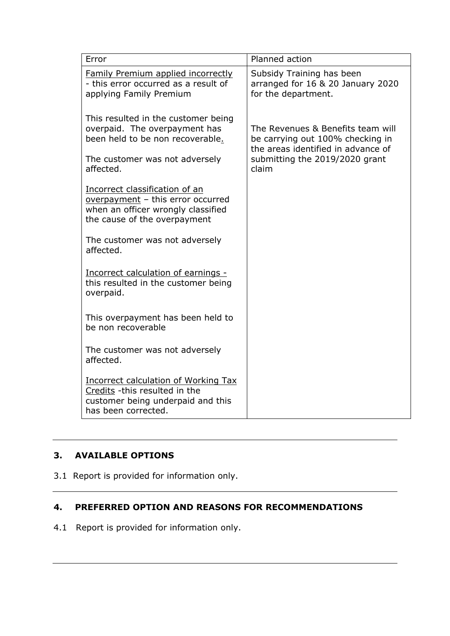| Error                                                                                                                                     | Planned action                                                                                              |  |
|-------------------------------------------------------------------------------------------------------------------------------------------|-------------------------------------------------------------------------------------------------------------|--|
| <b>Family Premium applied incorrectly</b><br>- this error occurred as a result of<br>applying Family Premium                              | Subsidy Training has been<br>arranged for 16 & 20 January 2020<br>for the department.                       |  |
| This resulted in the customer being<br>overpaid. The overpayment has<br>been held to be non recoverable.                                  | The Revenues & Benefits team will<br>be carrying out 100% checking in<br>the areas identified in advance of |  |
| The customer was not adversely<br>affected.                                                                                               | submitting the 2019/2020 grant<br>claim                                                                     |  |
| Incorrect classification of an<br>overpayment - this error occurred<br>when an officer wrongly classified<br>the cause of the overpayment |                                                                                                             |  |
| The customer was not adversely<br>affected.                                                                                               |                                                                                                             |  |
| Incorrect calculation of earnings -<br>this resulted in the customer being<br>overpaid.                                                   |                                                                                                             |  |
| This overpayment has been held to<br>be non recoverable                                                                                   |                                                                                                             |  |
| The customer was not adversely<br>affected.                                                                                               |                                                                                                             |  |
| Incorrect calculation of Working Tax<br>Credits -this resulted in the<br>customer being underpaid and this<br>has been corrected.         |                                                                                                             |  |

#### **3. AVAILABLE OPTIONS**

3.1 Report is provided for information only.

#### **4. PREFERRED OPTION AND REASONS FOR RECOMMENDATIONS**

4.1 Report is provided for information only.